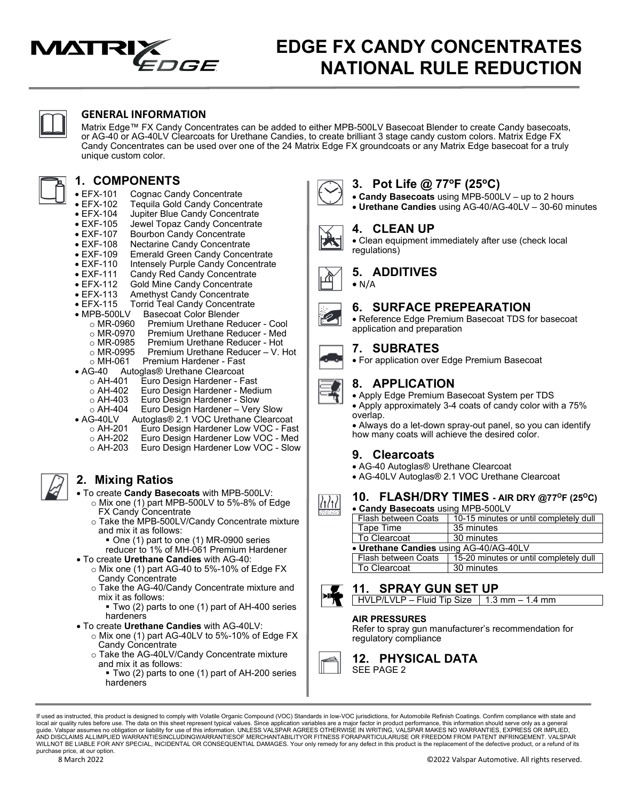

# **EDGE FX CANDY CONCENTRATES NATIONAL RULE REDUCTION**



### **GENERAL INFORMATION**

Matrix Edge™ FX Candy Concentrates can be added to either MPB-500LV Basecoat Blender to create Candy basecoats, or AG-40 or AG-40LV Clearcoats for Urethane Candies, to create brilliant 3 stage candy custom colors. Matrix Edge FX Candy Concentrates can be used over one of the 24 Matrix Edge FX groundcoats or any Matrix Edge basecoat for a truly unique custom color.

# **1. COMPONENTS**

- EFX-101 Cognac Candy Concentrate<br>• EFX-102 Tequila Gold Candy Concen
- EFX-102 Tequila Gold Candy Concentrate
- EFX-104 Jupiter Blue Candy Concentrate
- EXF-105 Jewel Topaz Candy Concentrate<br>• EXF-107 Bourbon Candy Concentrate
- EXF-107 Bourbon Candy Concentrate<br>• EXF-108 Nectarine Candy Concentrate
- EXF-108 Nectarine Candy Concentrate
- EXF-109 Emerald Green Candy Concentrate
- 
- EXF-110 Intensely Purple Candy Concentrate<br>• EXF-111 Candy Red Candy Concentrate
- EXF-111 Candy Red Candy Concentrate<br>• EFX-112 Gold Mine Candy Concentrate
- EFX-112 Gold Mine Candy Concentrate<br>• EFX-113 Amethyst Candy Concentrate
- EFX-113 Amethyst Candy Concentrate<br>• EFX-115 Torrid Teal Candy Concentrate **Torrid Teal Candy Concentrate**
- 
- MPB-500LV Basecoat Color Blender
	- o MR-0960 Premium Urethane Reducer Cool<br>○ MR-0970 Premium Urethane Reducer Med
	- o MR-0970 Premium Urethane Reducer Med<br>○ MR-0985 Premium Urethane Reducer Hot
	- o MR-0985 Premium Urethane Reducer Hot<br>○ MR-0995 Premium Urethane Reducer V. H
	- $\circ$  MR-0995 Premium Urethane Reducer V. Hot  $\circ$  MH-061 Premium Hardener Fast
- o MH-061 Premium Hardener Fast<br>• AG-40 Autoglas® Urethane Clearcoat
	- G-40 Autoglas® Urethane Clearcoat<br>○ AH-401 Euro Design Hardener Fa
	- o AH-401 Euro Design Hardener Fast
	- o AH-402 Euro Design Hardener Medium<br>○ AH-403 Euro Design Hardener Slow
	- o AH-403 Euro Design Hardener Slow<br>⊙ AH-404 Euro Design Hardener Very
- o AH-404 Euro Design Hardener Very Slow
	- G-40LV Autoglas® 2.1 VOC Urethane Clearcoat<br>○ AH-201 Euro Design Hardener Low VOC Fas
	- o AH-201 Euro Design Hardener Low VOC Fast<br>○ AH-202 Euro Design Hardener Low VOC Med o AH-202 Euro Design Hardener Low VOC - Med
	- o AH-203 Euro Design Hardener Low VOC Slow

## **2. Mixing Ratios**

- To create **Candy Basecoats** with MPB-500LV:
	- o Mix one (1) part MPB-500LV to 5%-8% of Edge FX Candy Concentrate
	- o Take the MPB-500LV/Candy Concentrate mixture and mix it as follows:
		- One (1) part to one (1) MR-0900 series
- reducer to 1% of MH-061 Premium Hardener • To create **Urethane Candies** with AG-40:
	- o Mix one (1) part AG-40 to 5%-10% of Edge FX Candy Concentrate
	- o Take the AG-40/Candy Concentrate mixture and mix it as follows:
		- Two (2) parts to one (1) part of AH-400 series hardeners
- To create **Urethane Candies** with AG-40LV:
	- o Mix one (1) part AG-40LV to 5%-10% of Edge FX Candy Concentrate
	- o Take the AG-40LV/Candy Concentrate mixture and mix it as follows:
		- Two (2) parts to one (1) part of AH-200 series hardeners



## **3. Pot Life @ 77oF (25oC)**

- **Candy Basecoats** using MPB-500LV up to 2 hours
- **Urethane Candies** using AG-40/AG-40LV 30-60 minutes



## **4. CLEAN UP**

**5. ADDITIVES**

 $\bullet$  N/A

• Clean equipment immediately after use (check local regulations)



# **6. SURFACE PREPEARATION**





#### **7. SUBRATES**

• For application over Edge Premium Basecoat



### **8. APPLICATION**

• Apply Edge Premium Basecoat System per TDS • Apply approximately 3-4 coats of candy color with a 75% overlap.

• Always do a let-down spray-out panel, so you can identify how many coats will achieve the desired color.

## **9. Clearcoats**

- AG-40 Autoglas® Urethane Clearcoat
- AG-40LV Autoglas® 2.1 VOC Urethane Clearcoat

### **10. FLASH/DRY TIMES - AIR DRY @77OF (25OC)**

| • Candy Basecoats using MPB-500LV      |                                        |  |
|----------------------------------------|----------------------------------------|--|
| Flash between Coats                    | 10-15 minutes or until completely dull |  |
| Tape Time                              | 35 minutes                             |  |
| To Clearcoat                           | 30 minutes                             |  |
| • Urethane Candies using AG-40/AG-40LV |                                        |  |
| Flash between Coats                    | 15-20 minutes or until completely dull |  |
| To Clearcoat                           | 30 minutes                             |  |
|                                        |                                        |  |

**11. SPRAY GUN SET UP**  $HVLP/LVLP - Fluid Tip Size$  1.3 mm – 1.4 mm

#### **AIR PRESSURES**

Refer to spray gun manufacturer's recommendation for regulatory compliance



**12. PHYSICAL DATA** SEE PAGE 2

If used as instructed, this product is designed to comply with Volatile Organic Compound (VOC) Standards in low-VOC jurisdictions, for Automobile Refinish Coatings. Confirm compliance with state and local air quality rules before use. The data on this sheet represent typical values. Since application variables are a major factor in product performance, this information should serve only as a general<br>guide. Valspar ass WILLNOT BE LIABLE FOR ANY SPECIAL, INCIDENTAL OR CONSEQUENTIAL DAMAGES. Your only remedy for any defect in this product is the replacement of the defective product, or a refund of its purchase price, at our option.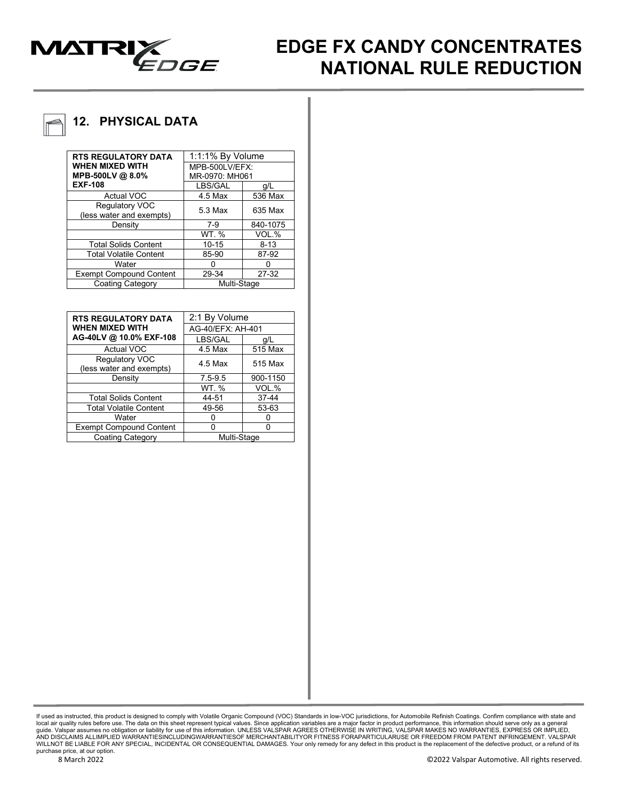

# **EDGE FX CANDY CONCENTRATES NATIONAL RULE REDUCTION**

# **12. PHYSICAL DATA**

| <b>RTS REGULATORY DATA</b>     | 1:1:1% By Volume |          |
|--------------------------------|------------------|----------|
| <b>WHEN MIXED WITH</b>         | MPB-500LV/EFX:   |          |
| MPB-500LV @ 8.0%               | MR-0970: MH061   |          |
| <b>EXF-108</b>                 | LBS/GAL          | q/L      |
| <b>Actual VOC</b>              | 4.5 Max          | 536 Max  |
| Regulatory VOC                 | 5.3 Max          | 635 Max  |
| (less water and exempts)       |                  |          |
| Density                        | $7-9$            | 840-1075 |
|                                | WT. %            | VOL.%    |
| <b>Total Solids Content</b>    | $10 - 15$        | $8 - 13$ |
| <b>Total Volatile Content</b>  | 85-90            | 87-92    |
| Water                          |                  |          |
| <b>Exempt Compound Content</b> | 29-34            | 27-32    |
| <b>Coating Category</b>        | Multi-Stage      |          |

| <b>RTS REGULATORY DATA</b>                 | 2:1 By Volume     |          |
|--------------------------------------------|-------------------|----------|
| <b>WHEN MIXED WITH</b>                     | AG-40/EFX: AH-401 |          |
| AG-40LV @ 10.0% EXF-108                    | LBS/GAL           | q/L      |
| <b>Actual VOC</b>                          | 4.5 Max           | 515 Max  |
| Regulatory VOC<br>(less water and exempts) | 4.5 Max           | 515 Max  |
| Density                                    | $7.5 - 9.5$       | 900-1150 |
|                                            | WT. %             | VOL.%    |
| <b>Total Solids Content</b>                | 44-51             | 37-44    |
| <b>Total Volatile Content</b>              | 49-56             | 53-63    |
| Water                                      |                   |          |
| <b>Exempt Compound Content</b>             |                   |          |
| <b>Coating Category</b>                    | Multi-Stage       |          |

lf used as instructed, this product is designed to comply with Volatile Organic Compound (VOC) Standards in low-VOC jurisdictions, for Automobile Refinish Coatings. Confirm compliance with state and<br>local air quality rules WILLNOT BE LIABLE FOR ANY SPECIAL, INCIDENTAL OR CONSEQUENTIAL DAMAGES. Your only remedy for any defect in this product is the replacement of the defective product, or a refund of its purchase price, at our option.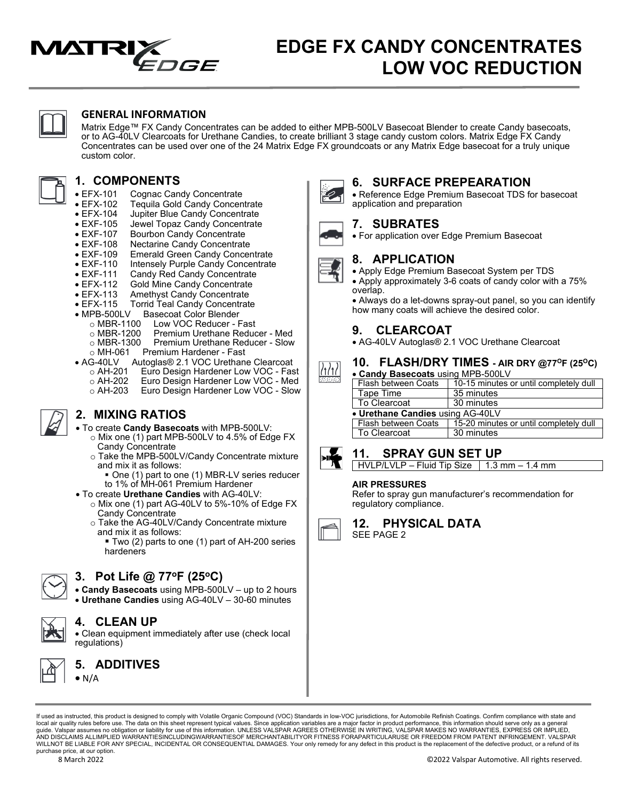

# **EDGE FX CANDY CONCENTRATES LOW VOC REDUCTION**

**6. SURFACE PREPEARATION**

• For application over Edge Premium Basecoat

• Apply Edge Premium Basecoat System per TDS • Apply approximately 3-6 coats of candy color with a 75%

how many coats will achieve the desired color.

• AG-40LV Autoglas® 2.1 VOC Urethane Clearcoat

**8. APPLICATION**

**9. CLEARCOAT**

overlap.



### **GENERAL INFORMATION**

Matrix Edge™ FX Candy Concentrates can be added to either MPB-500LV Basecoat Blender to create Candy basecoats, or to AG-40LV Clearcoats for Urethane Candies, to create brilliant 3 stage candy custom colors. Matrix Edge FX Candy Concentrates can be used over one of the 24 Matrix Edge FX groundcoats or any Matrix Edge basecoat for a truly unique custom color.

# **1. COMPONENTS**

- EFX-101 Cognac Candy Concentrate<br>• EFX-102 Tequila Gold Candy Concen
- EFX-102 Tequila Gold Candy Concentrate
- EFX-104 Jupiter Blue Candy Concentrate
- EXF-105 Jewel Topaz Candy Concentrate<br>• EXF-107 Bourbon Candy Concentrate
- EXF-107 Bourbon Candy Concentrate<br>• EXF-108 Nectarine Candy Concentrate
- EXF-108 Nectarine Candy Concentrate
- 
- EXF-109 Emerald Green Candy Concentrate
- EXF-110 Intensely Purple Candy Concentrate<br>• EXF-111 Candy Red Candy Concentrate
- EXF-111 Candy Red Candy Concentrate<br>• EFX-112 Gold Mine Candy Concentrate
- EFX-112 Gold Mine Candy Concentrate<br>• EFX-113 Amethyst Candy Concentrate
- EFX-113 Amethyst Candy Concentrate<br>• EFX-115 Torrid Teal Candy Concentrat **Torrid Teal Candy Concentrate**
- 
- MPB-500LV Basecoat Color Blender
	- o MBR-1100 Low VOC Reducer Fast<br>o MBR-1200 Premium Urethane Reduc
	- o MBR-1200 Premium Urethane Reducer Med<br>○ MBR-1300 Premium Urethane Reducer Slow
	- o MBR-1300 Premium Urethane Reducer Slow<br>○ MH-061 Premium Hardener Fast
- o MH-061 Premium Hardener Fast<br>• AG-40LV Autoglas® 2.1 VOC Urethan
	- G-40LV Autoglas® 2.1 VOC Urethane Clearcoat<br>○ AH-201 Euro Design Hardener Low VOC Fas
	- o AH-201 Euro Design Hardener Low VOC Fast<br>○ AH-202 Euro Design Hardener Low VOC Med
	- o AH-202 Euro Design Hardener Low VOC Med<br>○ AH-203 Euro Design Hardener Low VOC Slow Euro Design Hardener Low VOC - Slow
	-



## **2. MIXING RATIOS**

- To create **Candy Basecoats** with MPB-500LV:
	- o Mix one (1) part MPB-500LV to 4.5% of Edge FX Candy Concentrate
	- o Take the MPB-500LV/Candy Concentrate mixture and mix it as follows:
		- One (1) part to one (1) MBR-LV series reducer to 1% of MH-061 Premium Hardener
- To create **Urethane Candies** with AG-40LV:
	- o Mix one (1) part AG-40LV to 5%-10% of Edge FX Candy Concentrate
	- o Take the AG-40LV/Candy Concentrate mixture and mix it as follows:
		- Two (2) parts to one (1) part of AH-200 series hardeners



## **3. Pot Life @ 77oF (25oC)**

• **Candy Basecoats** using MPB-500LV – up to 2 hours • **Urethane Candies** using AG-40LV – 30-60 minutes



## **4. CLEAN UP**

• Clean equipment immediately after use (check local regulations)



**5. ADDITIVES**  $\bullet$  N/A

If used as instructed, this product is designed to comply with Volatile Organic Compound (VOC) Standards in low-VOC jurisdictions, for Automobile Refinish Coatings. Confirm compliance with state and local air quality rules before use. The data on this sheet represent typical values. Since application variables are a major factor in product performance, this information should serve only as a general<br>guide. Valspar ass WILLNOT BE LIABLE FOR ANY SPECIAL, INCIDENTAL OR CONSEQUENTIAL DAMAGES. Your only remedy for any defect in this product is the replacement of the defective product, or a refund of its purchase price, at our option.



• Always do a let-downs spray-out panel, so you can identify

| • Candy Basecoats using MPB-500LV |                                        |  |
|-----------------------------------|----------------------------------------|--|
| Flash between Coats               | 10-15 minutes or until completely dull |  |
| Tape Time                         | 35 minutes                             |  |
| To Clearcoat                      | 30 minutes                             |  |
| • Urethane Candies using AG-40LV  |                                        |  |
| Flash between Coats               | 15-20 minutes or until completely dull |  |
| To Clearcoat                      | 30 minutes                             |  |
|                                   |                                        |  |



/1/1

## **11. SPRAY GUN SET UP**

 $HVLP/LVLP - Fluid Tip Size \mid 1.3 mm - 1.4 mm$ 

#### **AIR PRESSURES**

Refer to spray gun manufacturer's recommendation for regulatory compliance.



**12. PHYSICAL DATA** SEE PAGE 2